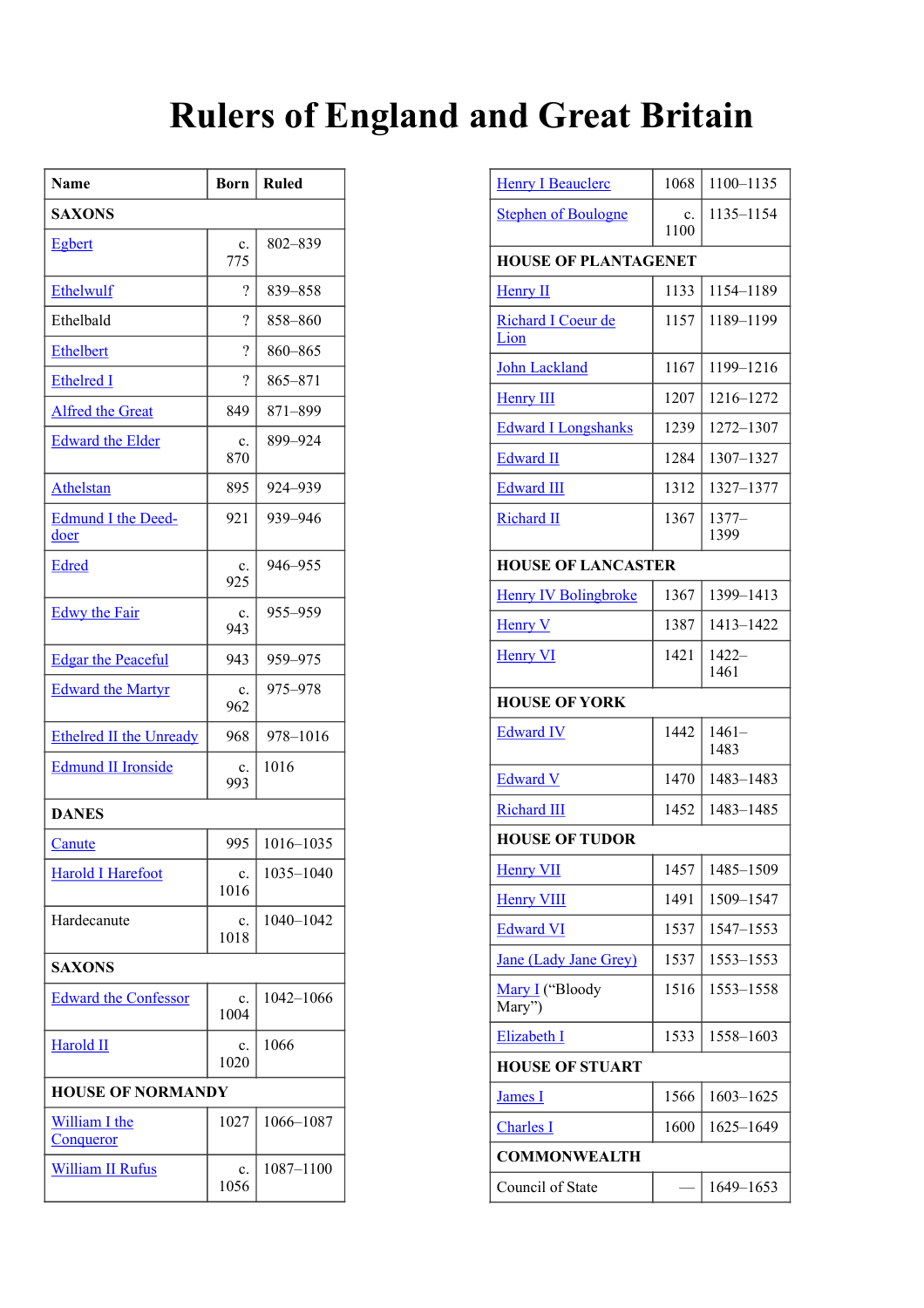## **Rulers of England and Great Britain**

| Name                              | Born                     | <b>Ruled</b> |  |
|-----------------------------------|--------------------------|--------------|--|
| <b>SAXONS</b>                     |                          |              |  |
| <b>Egbert</b>                     | c.<br>775                | 802-839      |  |
| Ethelwulf                         | ?                        | 839-858      |  |
| Ethelbald                         | ?                        | 858-860      |  |
| <b>Ethelbert</b>                  | ?                        | 860-865      |  |
| <b>Ethelred I</b>                 | $\overline{\mathcal{C}}$ | 865-871      |  |
| <b>Alfred the Great</b>           | 849                      | 871-899      |  |
| <b>Edward the Elder</b>           | c.<br>870                | 899-924      |  |
| Athelstan                         | 895                      | 924-939      |  |
| <b>Edmund I the Deed-</b><br>doer | 921                      | 939-946      |  |
| Edred                             | c.<br>925                | 946-955      |  |
| <b>Edwy the Fair</b>              | c.<br>943                | 955-959      |  |
| <b>Edgar the Peaceful</b>         | 943                      | 959-975      |  |
| <b>Edward the Martyr</b>          | c.<br>962                | 975-978      |  |
| <b>Ethelred II the Unready</b>    | 968                      | 978-1016     |  |
| <b>Edmund II Ironside</b>         | c.<br>993                | 1016         |  |
| <b>DANES</b>                      |                          |              |  |
| Canute                            | 995                      | 1016-1035    |  |
| <b>Harold I Harefoot</b>          | c.<br>1016               | 1035-1040    |  |
| Hardecanute                       | c.<br>1018               | 1040-1042    |  |
| <b>SAXONS</b>                     |                          |              |  |
| <b>Edward the Confessor</b>       | c.<br>1004               | 1042-1066    |  |
| Harold II                         | c.<br>1020               | 1066         |  |
| <b>HOUSE OF NORMANDY</b>          |                          |              |  |
| <b>William I the</b><br>Conqueror | 1027                     | 1066-1087    |  |
| <b>William II Rufus</b>           | c.<br>1056               | 1087-1100    |  |

| <b>Henry I Beauclerc</b>     | 1068       | 1100-1135        |  |
|------------------------------|------------|------------------|--|
| <b>Stephen of Boulogne</b>   | c.<br>1100 | 1135-1154        |  |
| <b>HOUSE OF PLANTAGENET</b>  |            |                  |  |
| <b>Henry II</b>              | 1133       | 1154-1189        |  |
| Richard I Coeur de<br>Lion   | 1157       | 1189-1199        |  |
| <b>John Lackland</b>         | 1167       | 1199-1216        |  |
| <b>Henry III</b>             | 1207       | 1216-1272        |  |
| <b>Edward I Longshanks</b>   | 1239       | 1272-1307        |  |
| <b>Edward II</b>             | 1284       | 1307-1327        |  |
| <b>Edward III</b>            | 1312       | 1327-1377        |  |
| <b>Richard II</b>            | 1367       | $1377-$<br>1399  |  |
| <b>HOUSE OF LANCASTER</b>    |            |                  |  |
| <b>Henry IV Bolingbroke</b>  | 1367       | 1399-1413        |  |
| <b>Henry V</b>               | 1387       | 1413-1422        |  |
| <b>Henry VI</b>              | 1421       | $1422 -$<br>1461 |  |
| <b>HOUSE OF YORK</b>         |            |                  |  |
| <b>Edward IV</b>             | 1442       | $1461-$<br>1483  |  |
| <b>Edward V</b>              | 1470       | 1483-1483        |  |
| <b>Richard III</b>           | 1452       | 1483-1485        |  |
| <b>HOUSE OF TUDOR</b>        |            |                  |  |
| <b>Henry VII</b>             | 1457       | 1485-1509        |  |
| <b>Henry VIII</b>            | 1491       | 1509-1547        |  |
| <b>Edward VI</b>             | 1537       | 1547-1553        |  |
| <b>Jane (Lady Jane Grey)</b> | 1537       | 1553-1553        |  |
| Mary I ("Bloody<br>Mary")    | 1516       | 1553-1558        |  |
| Elizabeth I                  | 1533       | 1558-1603        |  |
| <b>HOUSE OF STUART</b>       |            |                  |  |
| <b>James I</b>               | 1566       | 1603-1625        |  |
| <b>Charles</b> I             | 1600       | 1625-1649        |  |
| <b>COMMONWEALTH</b>          |            |                  |  |
| Council of State             |            | 1649-1653        |  |